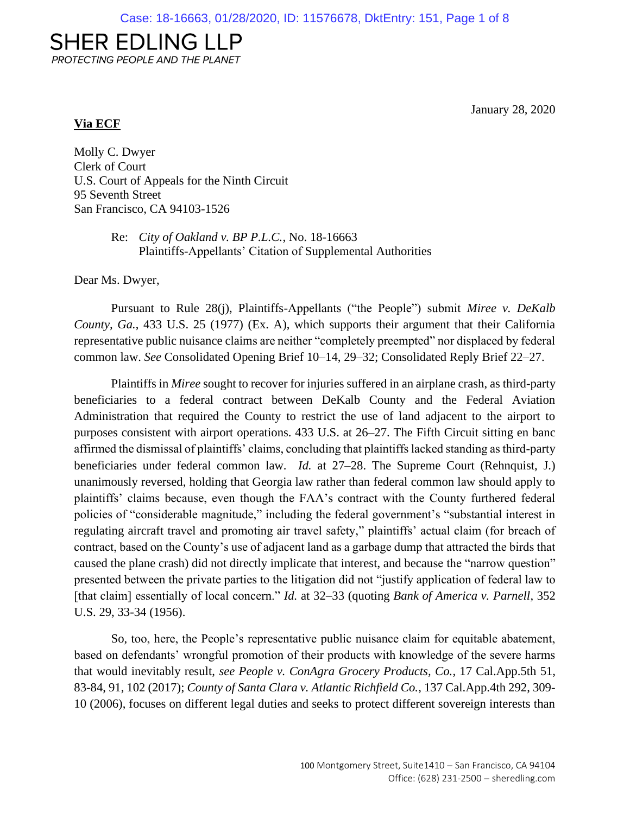# **SHER EDLING LLP**

PROTECTING PEOPLE AND THE PLANET

**Via ECF**

January 28, 2020

Molly C. Dwyer Clerk of Court U.S. Court of Appeals for the Ninth Circuit 95 Seventh Street San Francisco, CA 94103-1526

> Re: *City of Oakland v. BP P.L.C.*, No. 18-16663 Plaintiffs-Appellants' Citation of Supplemental Authorities

Dear Ms. Dwyer,

Pursuant to Rule 28(j), Plaintiffs-Appellants ("the People") submit *Miree v. DeKalb County, Ga.*, 433 U.S. 25 (1977) (Ex. A), which supports their argument that their California representative public nuisance claims are neither "completely preempted" nor displaced by federal common law. *See* Consolidated Opening Brief 10–14, 29–32; Consolidated Reply Brief 22–27.

Plaintiffs in *Miree* sought to recover for injuries suffered in an airplane crash, as third-party beneficiaries to a federal contract between DeKalb County and the Federal Aviation Administration that required the County to restrict the use of land adjacent to the airport to purposes consistent with airport operations. 433 U.S. at 26–27. The Fifth Circuit sitting en banc affirmed the dismissal of plaintiffs' claims, concluding that plaintiffs lacked standing as third-party beneficiaries under federal common law. *Id.* at 27–28. The Supreme Court (Rehnquist, J.) unanimously reversed, holding that Georgia law rather than federal common law should apply to plaintiffs' claims because, even though the FAA's contract with the County furthered federal policies of "considerable magnitude," including the federal government's "substantial interest in regulating aircraft travel and promoting air travel safety," plaintiffs' actual claim (for breach of contract, based on the County's use of adjacent land as a garbage dump that attracted the birds that caused the plane crash) did not directly implicate that interest, and because the "narrow question" presented between the private parties to the litigation did not "justify application of federal law to [that claim] essentially of local concern." *Id.* at 32–33 (quoting *Bank of America v. Parnell*, 352 U.S. 29, 33-34 (1956).

So, too, here, the People's representative public nuisance claim for equitable abatement, based on defendants' wrongful promotion of their products with knowledge of the severe harms that would inevitably result, *see People v. ConAgra Grocery Products, Co.*, 17 Cal.App.5th 51, 83-84, 91, 102 (2017); *County of Santa Clara v. Atlantic Richfield Co.*, 137 Cal.App.4th 292, 309- 10 (2006), focuses on different legal duties and seeks to protect different sovereign interests than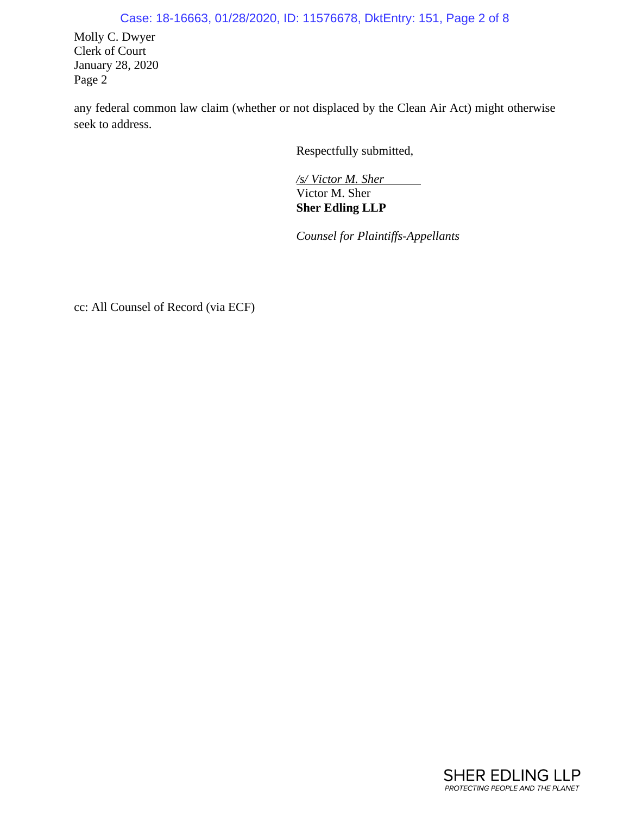# Case: 18-16663, 01/28/2020, ID: 11576678, DktEntry: 151, Page 2 of 8

Molly C. Dwyer Clerk of Court January 28, 2020 Page 2

any federal common law claim (whether or not displaced by the Clean Air Act) might otherwise seek to address.

Respectfully submitted,

*/s/ Victor M. Sher*  Victor M. Sher **Sher Edling LLP**

*Counsel for Plaintiffs-Appellants*

cc: All Counsel of Record (via ECF)

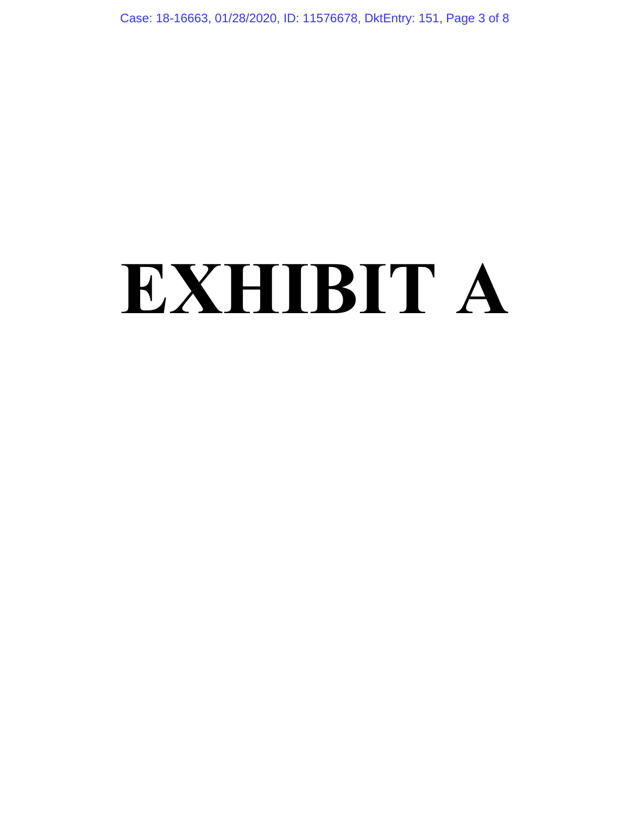Case: 18-16663, 01/28/2020, ID: 11576678, DktEntry: 151, Page 3 of 8

# **EXHIBIT A**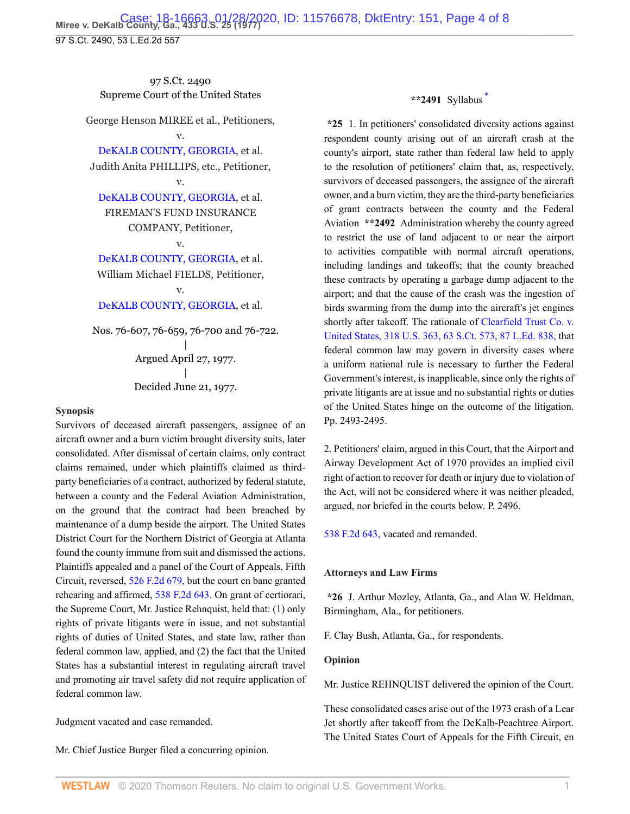97 S.Ct. 2490, 53 L.Ed.2d 557

97 S.Ct. 2490 Supreme Court of the United States

George Henson MIREE et al., Petitioners,

v.

[DeKALB COUNTY, GEORGIA](http://www.westlaw.com/Search/Results.html?query=advanced%3a+OAID(5037043580)&saveJuris=False&contentType=BUSINESS-INVESTIGATOR&startIndex=1&contextData=(sc.Default)&categoryPageUrl=Home%2fCompanyInvestigator&originationContext=document&vr=3.0&rs=cblt1.0&transitionType=DocumentItem), et al. Judith Anita PHILLIPS, etc., Petitioner,

v.

[DeKALB COUNTY, GEORGIA](http://www.westlaw.com/Search/Results.html?query=advanced%3a+OAID(5037043580)&saveJuris=False&contentType=BUSINESS-INVESTIGATOR&startIndex=1&contextData=(sc.Default)&categoryPageUrl=Home%2fCompanyInvestigator&originationContext=document&vr=3.0&rs=cblt1.0&transitionType=DocumentItem), et al. FIREMAN'S FUND INSURANCE COMPANY, Petitioner,

v.

[DeKALB COUNTY, GEORGIA](http://www.westlaw.com/Search/Results.html?query=advanced%3a+OAID(5037043580)&saveJuris=False&contentType=BUSINESS-INVESTIGATOR&startIndex=1&contextData=(sc.Default)&categoryPageUrl=Home%2fCompanyInvestigator&originationContext=document&vr=3.0&rs=cblt1.0&transitionType=DocumentItem), et al. William Michael FIELDS, Petitioner, v.

[DeKALB COUNTY, GEORGIA](http://www.westlaw.com/Search/Results.html?query=advanced%3a+OAID(5037043580)&saveJuris=False&contentType=BUSINESS-INVESTIGATOR&startIndex=1&contextData=(sc.Default)&categoryPageUrl=Home%2fCompanyInvestigator&originationContext=document&vr=3.0&rs=cblt1.0&transitionType=DocumentItem), et al.

Nos. 76-607, 76-659, 76-700 and 76-722. | Argued April 27, 1977. | Decided June 21, 1977.

#### **Synopsis**

Survivors of deceased aircraft passengers, assignee of an aircraft owner and a burn victim brought diversity suits, later consolidated. After dismissal of certain claims, only contract claims remained, under which plaintiffs claimed as thirdparty beneficiaries of a contract, authorized by federal statute, between a county and the Federal Aviation Administration, on the ground that the contract had been breached by maintenance of a dump beside the airport. The United States District Court for the Northern District of Georgia at Atlanta found the county immune from suit and dismissed the actions. Plaintiffs appealed and a panel of the Court of Appeals, Fifth Circuit, reversed, [526 F.2d 679,](http://www.westlaw.com/Link/Document/FullText?findType=Y&serNum=1976144509&pubNum=350&originatingDoc=I17985a0c9c1f11d993e6d35cc61aab4a&refType=RP&originationContext=document&vr=3.0&rs=cblt1.0&transitionType=DocumentItem&contextData=(sc.UserEnteredCitation)) but the court en banc granted rehearing and affirmed, [538 F.2d 643.](http://www.westlaw.com/Link/Document/FullText?findType=Y&serNum=1976123961&pubNum=350&originatingDoc=I17985a0c9c1f11d993e6d35cc61aab4a&refType=RP&originationContext=document&vr=3.0&rs=cblt1.0&transitionType=DocumentItem&contextData=(sc.UserEnteredCitation)) On grant of certiorari, the Supreme Court, Mr. Justice Rehnquist, held that: (1) only rights of private litigants were in issue, and not substantial rights of duties of United States, and state law, rather than federal common law, applied, and (2) the fact that the United States has a substantial interest in regulating aircraft travel and promoting air travel safety did not require application of federal common law.

Judgment vacated and case remanded.

Mr. Chief Justice Burger filed a concurring opinion.

## <span id="page-3-0"></span>**\*\*2491** Syllabus [\\*](#page-7-0)

**\*25** 1. In petitioners' consolidated diversity actions against respondent county arising out of an aircraft crash at the county's airport, state rather than federal law held to apply to the resolution of petitioners' claim that, as, respectively, survivors of deceased passengers, the assignee of the aircraft owner, and a burn victim, they are the third-party beneficiaries of grant contracts between the county and the Federal Aviation **\*\*2492** Administration whereby the county agreed to restrict the use of land adjacent to or near the airport to activities compatible with normal aircraft operations, including landings and takeoffs; that the county breached these contracts by operating a garbage dump adjacent to the airport; and that the cause of the crash was the ingestion of birds swarming from the dump into the aircraft's jet engines shortly after takeoff. The rationale of [Clearfield Trust Co. v.](http://www.westlaw.com/Link/Document/FullText?findType=Y&serNum=1943120347&pubNum=708&originatingDoc=I17985a0c9c1f11d993e6d35cc61aab4a&refType=RP&originationContext=document&vr=3.0&rs=cblt1.0&transitionType=DocumentItem&contextData=(sc.UserEnteredCitation)) [United States, 318 U.S. 363, 63 S.Ct. 573, 87 L.Ed. 838,](http://www.westlaw.com/Link/Document/FullText?findType=Y&serNum=1943120347&pubNum=708&originatingDoc=I17985a0c9c1f11d993e6d35cc61aab4a&refType=RP&originationContext=document&vr=3.0&rs=cblt1.0&transitionType=DocumentItem&contextData=(sc.UserEnteredCitation)) that federal common law may govern in diversity cases where a uniform national rule is necessary to further the Federal Government's interest, is inapplicable, since only the rights of private litigants are at issue and no substantial rights or duties of the United States hinge on the outcome of the litigation. Pp. 2493-2495.

2. Petitioners' claim, argued in this Court, that the Airport and Airway Development Act of 1970 provides an implied civil right of action to recover for death or injury due to violation of the Act, will not be considered where it was neither pleaded, argued, nor briefed in the courts below. P. 2496.

[538 F.2d 643,](http://www.westlaw.com/Link/Document/FullText?findType=Y&serNum=1976123961&pubNum=350&originatingDoc=I17985a0c9c1f11d993e6d35cc61aab4a&refType=RP&originationContext=document&vr=3.0&rs=cblt1.0&transitionType=DocumentItem&contextData=(sc.UserEnteredCitation)) vacated and remanded.

### **Attorneys and Law Firms**

**\*26** J. Arthur Mozley, Atlanta, Ga., and Alan W. Heldman, Birmingham, Ala., for petitioners.

F. Clay Bush, Atlanta, Ga., for respondents.

### **Opinion**

Mr. Justice REHNQUIST delivered the opinion of the Court.

These consolidated cases arise out of the 1973 crash of a Lear Jet shortly after takeoff from the DeKalb-Peachtree Airport. The United States Court of Appeals for the Fifth Circuit, en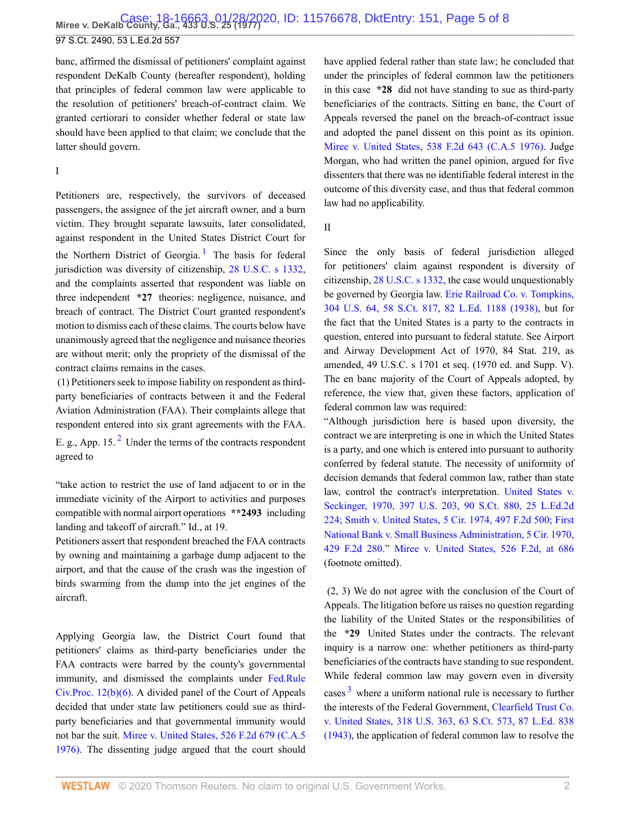**Miree v. DeKalb County, Ga., 433 U.S. 25 (1977)** Case: 18-16663, 01/28/2020, ID: 11576678, DktEntry: 151, Page 5 of 8

97 S.Ct. 2490, 53 L.Ed.2d 557

banc, affirmed the dismissal of petitioners' complaint against respondent DeKalb County (hereafter respondent), holding that principles of federal common law were applicable to the resolution of petitioners' breach-of-contract claim. We granted certiorari to consider whether federal or state law should have been applied to that claim; we conclude that the latter should govern.

I

Petitioners are, respectively, the survivors of deceased passengers, the assignee of the jet aircraft owner, and a burn victim. They brought separate lawsuits, later consolidated, against respondent in the United States District Court for the Northern District of Georgia.<sup>[1](#page-7-1)</sup> The basis for federal jurisdiction was diversity of citizenship, [28 U.S.C. s 1332](http://www.westlaw.com/Link/Document/FullText?findType=L&pubNum=1000546&cite=28USCAS1332&originatingDoc=I17985a0c9c1f11d993e6d35cc61aab4a&refType=LQ&originationContext=document&vr=3.0&rs=cblt1.0&transitionType=DocumentItem&contextData=(sc.UserEnteredCitation)), and the complaints asserted that respondent was liable on three independent **\*27** theories: negligence, nuisance, and breach of contract. The District Court granted respondent's motion to dismiss each of these claims. The courts below have unanimously agreed that the negligence and nuisance theories are without merit; only the propriety of the dismissal of the contract claims remains in the cases.

 (1) Petitioners seek to impose liability on respondent as thirdparty beneficiaries of contracts between it and the Federal Aviation Administration (FAA). Their complaints allege that respondent entered into six grant agreements with the FAA.

<span id="page-4-1"></span>E. g., App. 15. $^2$  $^2$  Under the terms of the contracts respondent agreed to

"take action to restrict the use of land adjacent to or in the immediate vicinity of the Airport to activities and purposes compatible with normal airport operations **\*\*2493** including landing and takeoff of aircraft." Id., at 19.

Petitioners assert that respondent breached the FAA contracts by owning and maintaining a garbage dump adjacent to the airport, and that the cause of the crash was the ingestion of birds swarming from the dump into the jet engines of the aircraft.

Applying Georgia law, the District Court found that petitioners' claims as third-party beneficiaries under the FAA contracts were barred by the county's governmental immunity, and dismissed the complaints under [Fed.Rule](http://www.westlaw.com/Link/Document/FullText?findType=L&pubNum=1004365&cite=USFRCPR12&originatingDoc=I17985a0c9c1f11d993e6d35cc61aab4a&refType=LQ&originationContext=document&vr=3.0&rs=cblt1.0&transitionType=DocumentItem&contextData=(sc.UserEnteredCitation)) [Civ.Proc. 12\(b\)\(6\)](http://www.westlaw.com/Link/Document/FullText?findType=L&pubNum=1004365&cite=USFRCPR12&originatingDoc=I17985a0c9c1f11d993e6d35cc61aab4a&refType=LQ&originationContext=document&vr=3.0&rs=cblt1.0&transitionType=DocumentItem&contextData=(sc.UserEnteredCitation)). A divided panel of the Court of Appeals decided that under state law petitioners could sue as thirdparty beneficiaries and that governmental immunity would not bar the suit. [Miree v. United States, 526 F.2d 679 \(C.A.5](http://www.westlaw.com/Link/Document/FullText?findType=Y&serNum=1976144509&pubNum=350&originatingDoc=I17985a0c9c1f11d993e6d35cc61aab4a&refType=RP&originationContext=document&vr=3.0&rs=cblt1.0&transitionType=DocumentItem&contextData=(sc.UserEnteredCitation)) [1976\)](http://www.westlaw.com/Link/Document/FullText?findType=Y&serNum=1976144509&pubNum=350&originatingDoc=I17985a0c9c1f11d993e6d35cc61aab4a&refType=RP&originationContext=document&vr=3.0&rs=cblt1.0&transitionType=DocumentItem&contextData=(sc.UserEnteredCitation)). The dissenting judge argued that the court should have applied federal rather than state law; he concluded that under the principles of federal common law the petitioners in this case **\*28** did not have standing to sue as third-party beneficiaries of the contracts. Sitting en banc, the Court of Appeals reversed the panel on the breach-of-contract issue and adopted the panel dissent on this point as its opinion. [Miree v. United States, 538 F.2d 643 \(C.A.5 1976\)](http://www.westlaw.com/Link/Document/FullText?findType=Y&serNum=1976123961&pubNum=350&originatingDoc=I17985a0c9c1f11d993e6d35cc61aab4a&refType=RP&originationContext=document&vr=3.0&rs=cblt1.0&transitionType=DocumentItem&contextData=(sc.UserEnteredCitation)). Judge Morgan, who had written the panel opinion, argued for five dissenters that there was no identifiable federal interest in the outcome of this diversity case, and thus that federal common law had no applicability.

II

<span id="page-4-0"></span>Since the only basis of federal jurisdiction alleged for petitioners' claim against respondent is diversity of citizenship, [28 U.S.C. s 1332,](http://www.westlaw.com/Link/Document/FullText?findType=L&pubNum=1000546&cite=28USCAS1332&originatingDoc=I17985a0c9c1f11d993e6d35cc61aab4a&refType=LQ&originationContext=document&vr=3.0&rs=cblt1.0&transitionType=DocumentItem&contextData=(sc.UserEnteredCitation)) the case would unquestionably be governed by Georgia law. [Erie Railroad Co. v. Tompkins,](http://www.westlaw.com/Link/Document/FullText?findType=Y&serNum=1938121079&pubNum=708&originatingDoc=I17985a0c9c1f11d993e6d35cc61aab4a&refType=RP&originationContext=document&vr=3.0&rs=cblt1.0&transitionType=DocumentItem&contextData=(sc.UserEnteredCitation)) [304 U.S. 64, 58 S.Ct. 817, 82 L.Ed. 1188 \(1938\),](http://www.westlaw.com/Link/Document/FullText?findType=Y&serNum=1938121079&pubNum=708&originatingDoc=I17985a0c9c1f11d993e6d35cc61aab4a&refType=RP&originationContext=document&vr=3.0&rs=cblt1.0&transitionType=DocumentItem&contextData=(sc.UserEnteredCitation)) but for the fact that the United States is a party to the contracts in question, entered into pursuant to federal statute. See Airport and Airway Development Act of 1970, 84 Stat. 219, as amended, 49 U.S.C. s 1701 et seq. (1970 ed. and Supp. V). The en banc majority of the Court of Appeals adopted, by reference, the view that, given these factors, application of federal common law was required:

"Although jurisdiction here is based upon diversity, the contract we are interpreting is one in which the United States is a party, and one which is entered into pursuant to authority conferred by federal statute. The necessity of uniformity of decision demands that federal common law, rather than state law, control the contract's interpretation. [United States v.](http://www.westlaw.com/Link/Document/FullText?findType=Y&serNum=1970134196&pubNum=708&originatingDoc=I17985a0c9c1f11d993e6d35cc61aab4a&refType=RP&originationContext=document&vr=3.0&rs=cblt1.0&transitionType=DocumentItem&contextData=(sc.UserEnteredCitation)) [Seckinger, 1970, 397 U.S. 203, 90 S.Ct. 880, 25 L.Ed.2d](http://www.westlaw.com/Link/Document/FullText?findType=Y&serNum=1970134196&pubNum=708&originatingDoc=I17985a0c9c1f11d993e6d35cc61aab4a&refType=RP&originationContext=document&vr=3.0&rs=cblt1.0&transitionType=DocumentItem&contextData=(sc.UserEnteredCitation)) [224;](http://www.westlaw.com/Link/Document/FullText?findType=Y&serNum=1970134196&pubNum=708&originatingDoc=I17985a0c9c1f11d993e6d35cc61aab4a&refType=RP&originationContext=document&vr=3.0&rs=cblt1.0&transitionType=DocumentItem&contextData=(sc.UserEnteredCitation)) [Smith v. United States, 5 Cir. 1974, 497 F.2d 500;](http://www.westlaw.com/Link/Document/FullText?findType=Y&serNum=1974110696&pubNum=350&originatingDoc=I17985a0c9c1f11d993e6d35cc61aab4a&refType=RP&originationContext=document&vr=3.0&rs=cblt1.0&transitionType=DocumentItem&contextData=(sc.UserEnteredCitation)) [First](http://www.westlaw.com/Link/Document/FullText?findType=Y&serNum=1970119268&pubNum=350&originatingDoc=I17985a0c9c1f11d993e6d35cc61aab4a&refType=RP&originationContext=document&vr=3.0&rs=cblt1.0&transitionType=DocumentItem&contextData=(sc.UserEnteredCitation)) [National Bank v. Small Business Administration, 5 Cir. 1970,](http://www.westlaw.com/Link/Document/FullText?findType=Y&serNum=1970119268&pubNum=350&originatingDoc=I17985a0c9c1f11d993e6d35cc61aab4a&refType=RP&originationContext=document&vr=3.0&rs=cblt1.0&transitionType=DocumentItem&contextData=(sc.UserEnteredCitation)) [429 F.2d 280.](http://www.westlaw.com/Link/Document/FullText?findType=Y&serNum=1970119268&pubNum=350&originatingDoc=I17985a0c9c1f11d993e6d35cc61aab4a&refType=RP&originationContext=document&vr=3.0&rs=cblt1.0&transitionType=DocumentItem&contextData=(sc.UserEnteredCitation))" [Miree v. United States, 526 F.2d, at 686](http://www.westlaw.com/Link/Document/FullText?findType=Y&serNum=1976144509&pubNum=350&originatingDoc=I17985a0c9c1f11d993e6d35cc61aab4a&refType=RP&fi=co_pp_sp_350_686&originationContext=document&vr=3.0&rs=cblt1.0&transitionType=DocumentItem&contextData=(sc.UserEnteredCitation)#co_pp_sp_350_686) (footnote omitted).

<span id="page-4-2"></span> (2, 3) We do not agree with the conclusion of the Court of Appeals. The litigation before us raises no question regarding the liability of the United States or the responsibilities of the **\*29** United States under the contracts. The relevant inquiry is a narrow one: whether petitioners as third-party beneficiaries of the contracts have standing to sue respondent. While federal common law may govern even in diversity cases<sup>[3](#page-7-3)</sup> where a uniform national rule is necessary to further the interests of the Federal Government, [Clearfield Trust Co.](http://www.westlaw.com/Link/Document/FullText?findType=Y&serNum=1943120347&pubNum=708&originatingDoc=I17985a0c9c1f11d993e6d35cc61aab4a&refType=RP&originationContext=document&vr=3.0&rs=cblt1.0&transitionType=DocumentItem&contextData=(sc.UserEnteredCitation)) [v. United States, 318 U.S. 363, 63 S.Ct. 573, 87 L.Ed. 838](http://www.westlaw.com/Link/Document/FullText?findType=Y&serNum=1943120347&pubNum=708&originatingDoc=I17985a0c9c1f11d993e6d35cc61aab4a&refType=RP&originationContext=document&vr=3.0&rs=cblt1.0&transitionType=DocumentItem&contextData=(sc.UserEnteredCitation)) [\(1943\),](http://www.westlaw.com/Link/Document/FullText?findType=Y&serNum=1943120347&pubNum=708&originatingDoc=I17985a0c9c1f11d993e6d35cc61aab4a&refType=RP&originationContext=document&vr=3.0&rs=cblt1.0&transitionType=DocumentItem&contextData=(sc.UserEnteredCitation)) the application of federal common law to resolve the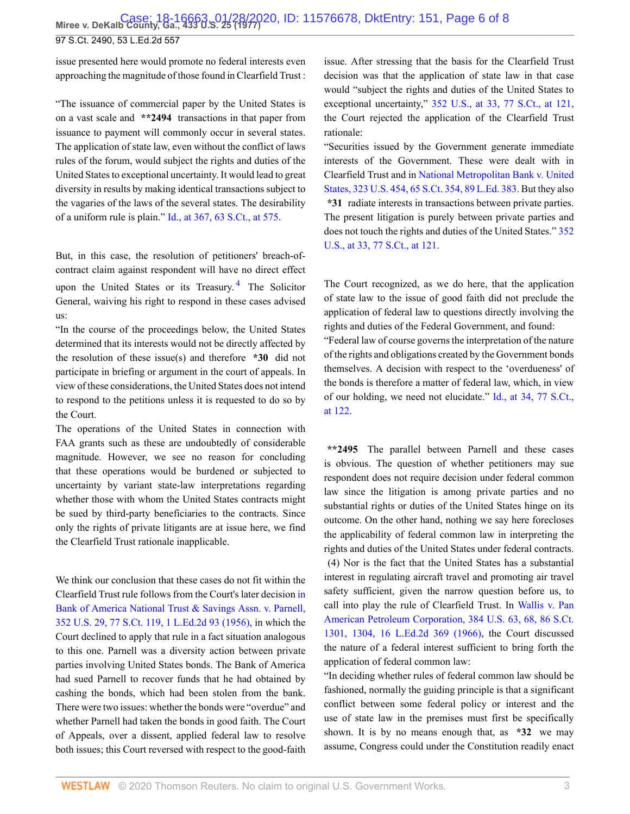97 S.Ct. 2490, 53 L.Ed.2d 557

issue presented here would promote no federal interests even approaching the magnitude of those found in Clearfield Trust :

"The issuance of commercial paper by the United States is on a vast scale and **\*\*2494** transactions in that paper from issuance to payment will commonly occur in several states. The application of state law, even without the conflict of laws rules of the forum, would subject the rights and duties of the United States to exceptional uncertainty. It would lead to great diversity in results by making identical transactions subject to the vagaries of the laws of the several states. The desirability of a uniform rule is plain." [Id., at 367, 63 S.Ct., at 575.](http://www.westlaw.com/Link/Document/FullText?findType=Y&serNum=1943120347&pubNum=708&originatingDoc=I17985a0c9c1f11d993e6d35cc61aab4a&refType=RP&fi=co_pp_sp_708_575&originationContext=document&vr=3.0&rs=cblt1.0&transitionType=DocumentItem&contextData=(sc.UserEnteredCitation)#co_pp_sp_708_575)

But, in this case, the resolution of petitioners' breach-ofcontract claim against respondent will have no direct effect upon the United States or its Treasury.<sup>[4](#page-7-4)</sup> The Solicitor General, waiving his right to respond in these cases advised us:

"In the course of the proceedings below, the United States determined that its interests would not be directly affected by the resolution of these issue(s) and therefore **\*30** did not participate in briefing or argument in the court of appeals. In view of these considerations, the United States does not intend to respond to the petitions unless it is requested to do so by the Court.

The operations of the United States in connection with FAA grants such as these are undoubtedly of considerable magnitude. However, we see no reason for concluding that these operations would be burdened or subjected to uncertainty by variant state-law interpretations regarding whether those with whom the United States contracts might be sued by third-party beneficiaries to the contracts. Since only the rights of private litigants are at issue here, we find the Clearfield Trust rationale inapplicable.

We think our conclusion that these cases do not fit within the Clearfield Trust rule follows from the Court's later decision [in](http://www.westlaw.com/Link/Document/FullText?findType=Y&serNum=1956107178&pubNum=708&originatingDoc=I17985a0c9c1f11d993e6d35cc61aab4a&refType=RP&originationContext=document&vr=3.0&rs=cblt1.0&transitionType=DocumentItem&contextData=(sc.UserEnteredCitation)) [Bank of America National Trust & Savings Assn. v. Parnell,](http://www.westlaw.com/Link/Document/FullText?findType=Y&serNum=1956107178&pubNum=708&originatingDoc=I17985a0c9c1f11d993e6d35cc61aab4a&refType=RP&originationContext=document&vr=3.0&rs=cblt1.0&transitionType=DocumentItem&contextData=(sc.UserEnteredCitation)) [352 U.S. 29, 77 S.Ct. 119, 1 L.Ed.2d 93 \(1956\),](http://www.westlaw.com/Link/Document/FullText?findType=Y&serNum=1956107178&pubNum=708&originatingDoc=I17985a0c9c1f11d993e6d35cc61aab4a&refType=RP&originationContext=document&vr=3.0&rs=cblt1.0&transitionType=DocumentItem&contextData=(sc.UserEnteredCitation)) in which the Court declined to apply that rule in a fact situation analogous to this one. Parnell was a diversity action between private parties involving United States bonds. The Bank of America had sued Parnell to recover funds that he had obtained by cashing the bonds, which had been stolen from the bank. There were two issues: whether the bonds were "overdue" and whether Parnell had taken the bonds in good faith. The Court of Appeals, over a dissent, applied federal law to resolve both issues; this Court reversed with respect to the good-faith

issue. After stressing that the basis for the Clearfield Trust decision was that the application of state law in that case would "subject the rights and duties of the United States to exceptional uncertainty," [352 U.S., at 33, 77 S.Ct., at 121,](http://www.westlaw.com/Link/Document/FullText?findType=Y&serNum=1956107178&pubNum=708&originatingDoc=I17985a0c9c1f11d993e6d35cc61aab4a&refType=RP&fi=co_pp_sp_708_121&originationContext=document&vr=3.0&rs=cblt1.0&transitionType=DocumentItem&contextData=(sc.UserEnteredCitation)#co_pp_sp_708_121) the Court rejected the application of the Clearfield Trust rationale:

"Securities issued by the Government generate immediate interests of the Government. These were dealt with in Clearfield Trust and in [National Metropolitan Bank v. United](http://www.westlaw.com/Link/Document/FullText?findType=Y&serNum=1945115600&pubNum=708&originatingDoc=I17985a0c9c1f11d993e6d35cc61aab4a&refType=RP&originationContext=document&vr=3.0&rs=cblt1.0&transitionType=DocumentItem&contextData=(sc.UserEnteredCitation)) [States, 323 U.S. 454, 65 S.Ct. 354, 89 L.Ed. 383.](http://www.westlaw.com/Link/Document/FullText?findType=Y&serNum=1945115600&pubNum=708&originatingDoc=I17985a0c9c1f11d993e6d35cc61aab4a&refType=RP&originationContext=document&vr=3.0&rs=cblt1.0&transitionType=DocumentItem&contextData=(sc.UserEnteredCitation)) But they also **\*31** radiate interests in transactions between private parties. The present litigation is purely between private parties and does not touch the rights and duties of the United States." [352](http://www.westlaw.com/Link/Document/FullText?findType=Y&serNum=1956107178&pubNum=708&originatingDoc=I17985a0c9c1f11d993e6d35cc61aab4a&refType=RP&fi=co_pp_sp_708_121&originationContext=document&vr=3.0&rs=cblt1.0&transitionType=DocumentItem&contextData=(sc.UserEnteredCitation)#co_pp_sp_708_121) [U.S., at 33, 77 S.Ct., at 121.](http://www.westlaw.com/Link/Document/FullText?findType=Y&serNum=1956107178&pubNum=708&originatingDoc=I17985a0c9c1f11d993e6d35cc61aab4a&refType=RP&fi=co_pp_sp_708_121&originationContext=document&vr=3.0&rs=cblt1.0&transitionType=DocumentItem&contextData=(sc.UserEnteredCitation)#co_pp_sp_708_121)

<span id="page-5-0"></span>The Court recognized, as we do here, that the application of state law to the issue of good faith did not preclude the application of federal law to questions directly involving the rights and duties of the Federal Government, and found:

"Federal law of course governs the interpretation of the nature of the rights and obligations created by the Government bonds themselves. A decision with respect to the 'overdueness' of the bonds is therefore a matter of federal law, which, in view of our holding, we need not elucidate." [Id., at 34, 77 S.Ct.,](http://www.westlaw.com/Link/Document/FullText?findType=Y&serNum=1956107178&pubNum=708&originatingDoc=I17985a0c9c1f11d993e6d35cc61aab4a&refType=RP&fi=co_pp_sp_708_122&originationContext=document&vr=3.0&rs=cblt1.0&transitionType=DocumentItem&contextData=(sc.UserEnteredCitation)#co_pp_sp_708_122) [at 122.](http://www.westlaw.com/Link/Document/FullText?findType=Y&serNum=1956107178&pubNum=708&originatingDoc=I17985a0c9c1f11d993e6d35cc61aab4a&refType=RP&fi=co_pp_sp_708_122&originationContext=document&vr=3.0&rs=cblt1.0&transitionType=DocumentItem&contextData=(sc.UserEnteredCitation)#co_pp_sp_708_122)

**\*\*2495** The parallel between Parnell and these cases is obvious. The question of whether petitioners may sue respondent does not require decision under federal common law since the litigation is among private parties and no substantial rights or duties of the United States hinge on its outcome. On the other hand, nothing we say here forecloses the applicability of federal common law in interpreting the rights and duties of the United States under federal contracts. (4) Nor is the fact that the United States has a substantial interest in regulating aircraft travel and promoting air travel safety sufficient, given the narrow question before us, to call into play the rule of Clearfield Trust. In [Wallis v. Pan](http://www.westlaw.com/Link/Document/FullText?findType=Y&serNum=1966131554&pubNum=708&originatingDoc=I17985a0c9c1f11d993e6d35cc61aab4a&refType=RP&fi=co_pp_sp_708_1304&originationContext=document&vr=3.0&rs=cblt1.0&transitionType=DocumentItem&contextData=(sc.UserEnteredCitation)#co_pp_sp_708_1304) [American Petroleum Corporation, 384 U.S. 63, 68, 86 S.Ct.](http://www.westlaw.com/Link/Document/FullText?findType=Y&serNum=1966131554&pubNum=708&originatingDoc=I17985a0c9c1f11d993e6d35cc61aab4a&refType=RP&fi=co_pp_sp_708_1304&originationContext=document&vr=3.0&rs=cblt1.0&transitionType=DocumentItem&contextData=(sc.UserEnteredCitation)#co_pp_sp_708_1304) [1301, 1304, 16 L.Ed.2d 369 \(1966\),](http://www.westlaw.com/Link/Document/FullText?findType=Y&serNum=1966131554&pubNum=708&originatingDoc=I17985a0c9c1f11d993e6d35cc61aab4a&refType=RP&fi=co_pp_sp_708_1304&originationContext=document&vr=3.0&rs=cblt1.0&transitionType=DocumentItem&contextData=(sc.UserEnteredCitation)#co_pp_sp_708_1304) the Court discussed the nature of a federal interest sufficient to bring forth the application of federal common law:

"In deciding whether rules of federal common law should be fashioned, normally the guiding principle is that a significant conflict between some federal policy or interest and the use of state law in the premises must first be specifically shown. It is by no means enough that, as **\*32** we may assume, Congress could under the Constitution readily enact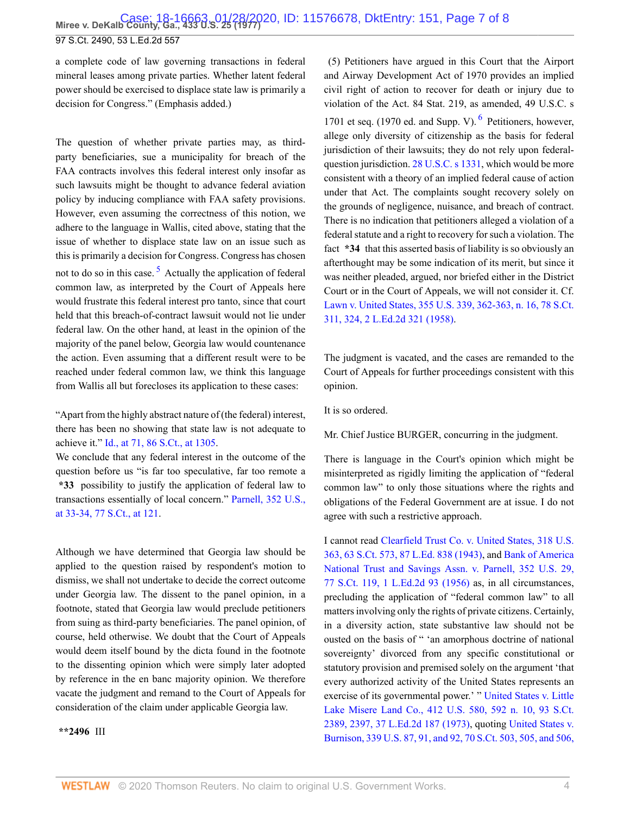#### 97 S.Ct. 2490, 53 L.Ed.2d 557

a complete code of law governing transactions in federal mineral leases among private parties. Whether latent federal power should be exercised to displace state law is primarily a decision for Congress." (Emphasis added.)

<span id="page-6-0"></span>The question of whether private parties may, as thirdparty beneficiaries, sue a municipality for breach of the FAA contracts involves this federal interest only insofar as such lawsuits might be thought to advance federal aviation policy by inducing compliance with FAA safety provisions. However, even assuming the correctness of this notion, we adhere to the language in Wallis, cited above, stating that the issue of whether to displace state law on an issue such as this is primarily a decision for Congress. Congress has chosen not to do so in this case.  $5$  Actually the application of federal common law, as interpreted by the Court of Appeals here would frustrate this federal interest pro tanto, since that court held that this breach-of-contract lawsuit would not lie under federal law. On the other hand, at least in the opinion of the majority of the panel below, Georgia law would countenance the action. Even assuming that a different result were to be reached under federal common law, we think this language from Wallis all but forecloses its application to these cases:

"Apart from the highly abstract nature of (the federal) interest, there has been no showing that state law is not adequate to achieve it." [Id., at 71, 86 S.Ct., at 1305.](http://www.westlaw.com/Link/Document/FullText?findType=Y&serNum=1966131554&pubNum=708&originatingDoc=I17985a0c9c1f11d993e6d35cc61aab4a&refType=RP&fi=co_pp_sp_708_1305&originationContext=document&vr=3.0&rs=cblt1.0&transitionType=DocumentItem&contextData=(sc.UserEnteredCitation)#co_pp_sp_708_1305)

We conclude that any federal interest in the outcome of the question before us "is far too speculative, far too remote a **\*33** possibility to justify the application of federal law to transactions essentially of local concern." [Parnell, 352 U.S.,](http://www.westlaw.com/Link/Document/FullText?findType=Y&serNum=1956107178&pubNum=708&originatingDoc=I17985a0c9c1f11d993e6d35cc61aab4a&refType=RP&fi=co_pp_sp_708_121&originationContext=document&vr=3.0&rs=cblt1.0&transitionType=DocumentItem&contextData=(sc.UserEnteredCitation)#co_pp_sp_708_121) [at 33-34, 77 S.Ct., at 121](http://www.westlaw.com/Link/Document/FullText?findType=Y&serNum=1956107178&pubNum=708&originatingDoc=I17985a0c9c1f11d993e6d35cc61aab4a&refType=RP&fi=co_pp_sp_708_121&originationContext=document&vr=3.0&rs=cblt1.0&transitionType=DocumentItem&contextData=(sc.UserEnteredCitation)#co_pp_sp_708_121).

Although we have determined that Georgia law should be applied to the question raised by respondent's motion to dismiss, we shall not undertake to decide the correct outcome under Georgia law. The dissent to the panel opinion, in a footnote, stated that Georgia law would preclude petitioners from suing as third-party beneficiaries. The panel opinion, of course, held otherwise. We doubt that the Court of Appeals would deem itself bound by the dicta found in the footnote to the dissenting opinion which were simply later adopted by reference in the en banc majority opinion. We therefore vacate the judgment and remand to the Court of Appeals for consideration of the claim under applicable Georgia law.

**\*\*2496** III

<span id="page-6-1"></span> (5) Petitioners have argued in this Court that the Airport and Airway Development Act of 1970 provides an implied civil right of action to recover for death or injury due to violation of the Act. 84 Stat. 219, as amended, 49 U.S.C. s 1701 et seq. (1970 ed. and Supp. V).  $<sup>6</sup>$  $<sup>6</sup>$  $<sup>6</sup>$  Petitioners, however,</sup> allege only diversity of citizenship as the basis for federal jurisdiction of their lawsuits; they do not rely upon federalquestion jurisdiction. [28 U.S.C. s 1331,](http://www.westlaw.com/Link/Document/FullText?findType=L&pubNum=1000546&cite=28USCAS1331&originatingDoc=I17985a0c9c1f11d993e6d35cc61aab4a&refType=LQ&originationContext=document&vr=3.0&rs=cblt1.0&transitionType=DocumentItem&contextData=(sc.UserEnteredCitation)) which would be more consistent with a theory of an implied federal cause of action under that Act. The complaints sought recovery solely on the grounds of negligence, nuisance, and breach of contract. There is no indication that petitioners alleged a violation of a federal statute and a right to recovery for such a violation. The fact **\*34** that this asserted basis of liability is so obviously an afterthought may be some indication of its merit, but since it was neither pleaded, argued, nor briefed either in the District Court or in the Court of Appeals, we will not consider it. Cf. [Lawn v. United States, 355 U.S. 339, 362-363, n. 16, 78 S.Ct.](http://www.westlaw.com/Link/Document/FullText?findType=Y&serNum=1958102683&pubNum=708&originatingDoc=I17985a0c9c1f11d993e6d35cc61aab4a&refType=RP&fi=co_pp_sp_708_324&originationContext=document&vr=3.0&rs=cblt1.0&transitionType=DocumentItem&contextData=(sc.UserEnteredCitation)#co_pp_sp_708_324) [311, 324, 2 L.Ed.2d 321 \(1958\).](http://www.westlaw.com/Link/Document/FullText?findType=Y&serNum=1958102683&pubNum=708&originatingDoc=I17985a0c9c1f11d993e6d35cc61aab4a&refType=RP&fi=co_pp_sp_708_324&originationContext=document&vr=3.0&rs=cblt1.0&transitionType=DocumentItem&contextData=(sc.UserEnteredCitation)#co_pp_sp_708_324)

The judgment is vacated, and the cases are remanded to the Court of Appeals for further proceedings consistent with this opinion.

It is so ordered.

Mr. Chief Justice BURGER, concurring in the judgment.

There is language in the Court's opinion which might be misinterpreted as rigidly limiting the application of "federal common law" to only those situations where the rights and obligations of the Federal Government are at issue. I do not agree with such a restrictive approach.

I cannot read [Clearfield Trust Co. v. United States, 318 U.S.](http://www.westlaw.com/Link/Document/FullText?findType=Y&serNum=1943120347&pubNum=708&originatingDoc=I17985a0c9c1f11d993e6d35cc61aab4a&refType=RP&originationContext=document&vr=3.0&rs=cblt1.0&transitionType=DocumentItem&contextData=(sc.UserEnteredCitation)) [363, 63 S.Ct. 573, 87 L.Ed. 838 \(1943\),](http://www.westlaw.com/Link/Document/FullText?findType=Y&serNum=1943120347&pubNum=708&originatingDoc=I17985a0c9c1f11d993e6d35cc61aab4a&refType=RP&originationContext=document&vr=3.0&rs=cblt1.0&transitionType=DocumentItem&contextData=(sc.UserEnteredCitation)) and [Bank of America](http://www.westlaw.com/Link/Document/FullText?findType=Y&serNum=1956107178&pubNum=708&originatingDoc=I17985a0c9c1f11d993e6d35cc61aab4a&refType=RP&originationContext=document&vr=3.0&rs=cblt1.0&transitionType=DocumentItem&contextData=(sc.UserEnteredCitation)) [National Trust and Savings Assn. v. Parnell, 352 U.S. 29,](http://www.westlaw.com/Link/Document/FullText?findType=Y&serNum=1956107178&pubNum=708&originatingDoc=I17985a0c9c1f11d993e6d35cc61aab4a&refType=RP&originationContext=document&vr=3.0&rs=cblt1.0&transitionType=DocumentItem&contextData=(sc.UserEnteredCitation)) [77 S.Ct. 119, 1 L.Ed.2d 93 \(1956\)](http://www.westlaw.com/Link/Document/FullText?findType=Y&serNum=1956107178&pubNum=708&originatingDoc=I17985a0c9c1f11d993e6d35cc61aab4a&refType=RP&originationContext=document&vr=3.0&rs=cblt1.0&transitionType=DocumentItem&contextData=(sc.UserEnteredCitation)) as, in all circumstances, precluding the application of "federal common law" to all matters involving only the rights of private citizens. Certainly, in a diversity action, state substantive law should not be ousted on the basis of " 'an amorphous doctrine of national sovereignty' divorced from any specific constitutional or statutory provision and premised solely on the argument 'that every authorized activity of the United States represents an exercise of its governmental power.' " [United States v. Little](http://www.westlaw.com/Link/Document/FullText?findType=Y&serNum=1973126425&pubNum=708&originatingDoc=I17985a0c9c1f11d993e6d35cc61aab4a&refType=RP&fi=co_pp_sp_708_2397&originationContext=document&vr=3.0&rs=cblt1.0&transitionType=DocumentItem&contextData=(sc.UserEnteredCitation)#co_pp_sp_708_2397) [Lake Misere Land Co., 412 U.S. 580, 592 n. 10, 93 S.Ct.](http://www.westlaw.com/Link/Document/FullText?findType=Y&serNum=1973126425&pubNum=708&originatingDoc=I17985a0c9c1f11d993e6d35cc61aab4a&refType=RP&fi=co_pp_sp_708_2397&originationContext=document&vr=3.0&rs=cblt1.0&transitionType=DocumentItem&contextData=(sc.UserEnteredCitation)#co_pp_sp_708_2397) [2389, 2397, 37 L.Ed.2d 187 \(1973\),](http://www.westlaw.com/Link/Document/FullText?findType=Y&serNum=1973126425&pubNum=708&originatingDoc=I17985a0c9c1f11d993e6d35cc61aab4a&refType=RP&fi=co_pp_sp_708_2397&originationContext=document&vr=3.0&rs=cblt1.0&transitionType=DocumentItem&contextData=(sc.UserEnteredCitation)#co_pp_sp_708_2397) quoting [United States v.](http://www.westlaw.com/Link/Document/FullText?findType=Y&serNum=1950119518&pubNum=780&originatingDoc=I17985a0c9c1f11d993e6d35cc61aab4a&refType=RP&fi=co_pp_sp_780_91&originationContext=document&vr=3.0&rs=cblt1.0&transitionType=DocumentItem&contextData=(sc.UserEnteredCitation)#co_pp_sp_780_91) [Burnison, 339 U.S. 87, 91, and 92,](http://www.westlaw.com/Link/Document/FullText?findType=Y&serNum=1950119518&pubNum=780&originatingDoc=I17985a0c9c1f11d993e6d35cc61aab4a&refType=RP&fi=co_pp_sp_780_91&originationContext=document&vr=3.0&rs=cblt1.0&transitionType=DocumentItem&contextData=(sc.UserEnteredCitation)#co_pp_sp_780_91) [70 S.Ct. 503, 505, and 506,](http://www.westlaw.com/Link/Document/FullText?findType=Y&serNum=1950119518&pubNum=708&originatingDoc=I17985a0c9c1f11d993e6d35cc61aab4a&refType=RP&fi=co_pp_sp_708_505&originationContext=document&vr=3.0&rs=cblt1.0&transitionType=DocumentItem&contextData=(sc.UserEnteredCitation)#co_pp_sp_708_505)